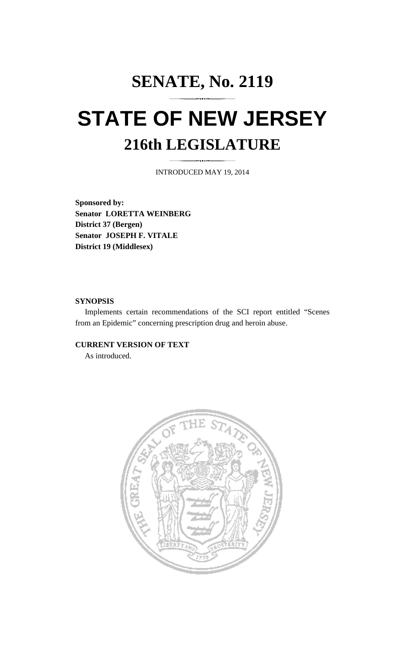# **SENATE, No. 2119 STATE OF NEW JERSEY 216th LEGISLATURE**

INTRODUCED MAY 19, 2014

**Sponsored by: Senator LORETTA WEINBERG District 37 (Bergen) Senator JOSEPH F. VITALE District 19 (Middlesex)** 

## **SYNOPSIS**

 Implements certain recommendations of the SCI report entitled "Scenes from an Epidemic" concerning prescription drug and heroin abuse.

## **CURRENT VERSION OF TEXT**

As introduced.

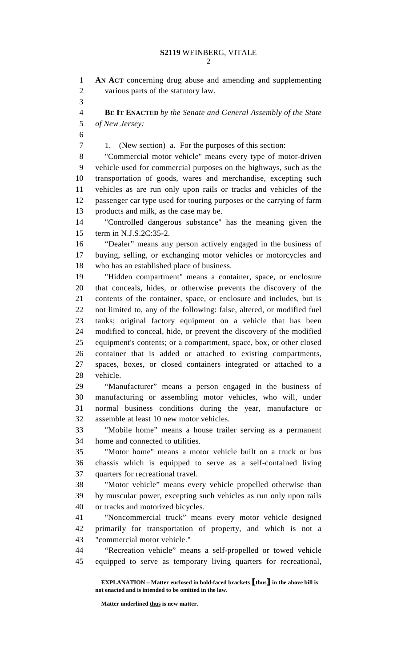2

1 **AN ACT** concerning drug abuse and amending and supplementing 2 various parts of the statutory law. 3 4 **BE IT ENACTED** *by the Senate and General Assembly of the State*  5 *of New Jersey:* 6 7 1. (New section) a. For the purposes of this section: 8 "Commercial motor vehicle" means every type of motor-driven 9 vehicle used for commercial purposes on the highways, such as the 10 transportation of goods, wares and merchandise, excepting such 11 vehicles as are run only upon rails or tracks and vehicles of the 12 passenger car type used for touring purposes or the carrying of farm 13 products and milk, as the case may be. 14 "Controlled dangerous substance" has the meaning given the 15 term in N.J.S.2C:35-2. 16 "Dealer" means any person actively engaged in the business of 17 buying, selling, or exchanging motor vehicles or motorcycles and 18 who has an established place of business. 19 "Hidden compartment" means a container, space, or enclosure 20 that conceals, hides, or otherwise prevents the discovery of the 21 contents of the container, space, or enclosure and includes, but is 22 not limited to, any of the following: false, altered, or modified fuel 23 tanks; original factory equipment on a vehicle that has been 24 modified to conceal, hide, or prevent the discovery of the modified 25 equipment's contents; or a compartment, space, box, or other closed 26 container that is added or attached to existing compartments, 27 spaces, boxes, or closed containers integrated or attached to a 28 vehicle. 29 "Manufacturer" means a person engaged in the business of 30 manufacturing or assembling motor vehicles, who will, under 31 normal business conditions during the year, manufacture or 32 assemble at least 10 new motor vehicles. 33 "Mobile home" means a house trailer serving as a permanent 34 home and connected to utilities. 35 "Motor home" means a motor vehicle built on a truck or bus 36 chassis which is equipped to serve as a self-contained living 37 quarters for recreational travel. 38 "Motor vehicle" means every vehicle propelled otherwise than 39 by muscular power, excepting such vehicles as run only upon rails 40 or tracks and motorized bicycles. 41 "Noncommercial truck" means every motor vehicle designed 42 primarily for transportation of property, and which is not a 43 "commercial motor vehicle." 44 "Recreation vehicle" means a self-propelled or towed vehicle 45 equipped to serve as temporary living quarters for recreational,

 **EXPLANATION – Matter enclosed in bold-faced brackets** [**thus**] **in the above bill is not enacted and is intended to be omitted in the law.** 

 **Matter underlined thus is new matter.**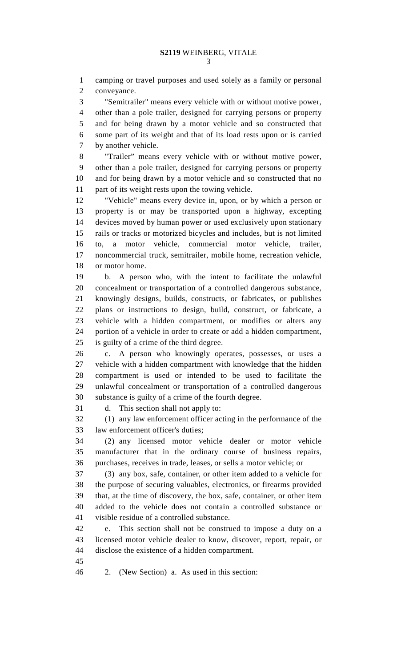1 camping or travel purposes and used solely as a family or personal 2 conveyance.

3 "Semitrailer" means every vehicle with or without motive power, 4 other than a pole trailer, designed for carrying persons or property 5 and for being drawn by a motor vehicle and so constructed that 6 some part of its weight and that of its load rests upon or is carried 7 by another vehicle.

8 "Trailer" means every vehicle with or without motive power, 9 other than a pole trailer, designed for carrying persons or property 10 and for being drawn by a motor vehicle and so constructed that no 11 part of its weight rests upon the towing vehicle.

12 "Vehicle" means every device in, upon, or by which a person or 13 property is or may be transported upon a highway, excepting 14 devices moved by human power or used exclusively upon stationary 15 rails or tracks or motorized bicycles and includes, but is not limited 16 to, a motor vehicle, commercial motor vehicle, trailer, 17 noncommercial truck, semitrailer, mobile home, recreation vehicle, 18 or motor home.

19 b. A person who, with the intent to facilitate the unlawful 20 concealment or transportation of a controlled dangerous substance, 21 knowingly designs, builds, constructs, or fabricates, or publishes 22 plans or instructions to design, build, construct, or fabricate, a 23 vehicle with a hidden compartment, or modifies or alters any 24 portion of a vehicle in order to create or add a hidden compartment, 25 is guilty of a crime of the third degree.

26 c. A person who knowingly operates, possesses, or uses a 27 vehicle with a hidden compartment with knowledge that the hidden 28 compartment is used or intended to be used to facilitate the 29 unlawful concealment or transportation of a controlled dangerous 30 substance is guilty of a crime of the fourth degree.

31 d. This section shall not apply to:

32 (1) any law enforcement officer acting in the performance of the 33 law enforcement officer's duties;

34 (2) any licensed motor vehicle dealer or motor vehicle 35 manufacturer that in the ordinary course of business repairs, 36 purchases, receives in trade, leases, or sells a motor vehicle; or

37 (3) any box, safe, container, or other item added to a vehicle for 38 the purpose of securing valuables, electronics, or firearms provided 39 that, at the time of discovery, the box, safe, container, or other item 40 added to the vehicle does not contain a controlled substance or 41 visible residue of a controlled substance.

42 e. This section shall not be construed to impose a duty on a 43 licensed motor vehicle dealer to know, discover, report, repair, or 44 disclose the existence of a hidden compartment.

45

46 2. (New Section) a. As used in this section: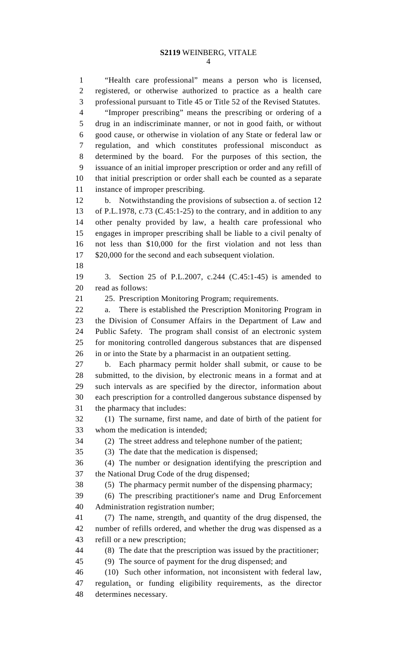1 "Health care professional" means a person who is licensed, 2 registered, or otherwise authorized to practice as a health care 3 professional pursuant to Title 45 or Title 52 of the Revised Statutes. 4 "Improper prescribing" means the prescribing or ordering of a 5 drug in an indiscriminate manner, or not in good faith, or without 6 good cause, or otherwise in violation of any State or federal law or 7 regulation, and which constitutes professional misconduct as 8 determined by the board. For the purposes of this section, the 9 issuance of an initial improper prescription or order and any refill of 10 that initial prescription or order shall each be counted as a separate 11 instance of improper prescribing. 12 b. Notwithstanding the provisions of subsection a. of section 12 13 of P.L.1978, c.73 (C.45:1-25) to the contrary, and in addition to any 14 other penalty provided by law, a health care professional who 15 engages in improper prescribing shall be liable to a civil penalty of 16 not less than \$10,000 for the first violation and not less than 17 \$20,000 for the second and each subsequent violation. 18 19 3. Section 25 of P.L.2007, c.244 (C.45:1-45) is amended to 20 read as follows: 21 25. Prescription Monitoring Program; requirements. 22 a. There is established the Prescription Monitoring Program in 23 the Division of Consumer Affairs in the Department of Law and 24 Public Safety. The program shall consist of an electronic system 25 for monitoring controlled dangerous substances that are dispensed 26 in or into the State by a pharmacist in an outpatient setting. 27 b. Each pharmacy permit holder shall submit, or cause to be 28 submitted, to the division, by electronic means in a format and at 29 such intervals as are specified by the director, information about 30 each prescription for a controlled dangerous substance dispensed by 31 the pharmacy that includes: 32 (1) The surname, first name, and date of birth of the patient for 33 whom the medication is intended; 34 (2) The street address and telephone number of the patient; 35 (3) The date that the medication is dispensed; 36 (4) The number or designation identifying the prescription and 37 the National Drug Code of the drug dispensed; 38 (5) The pharmacy permit number of the dispensing pharmacy; 39 (6) The prescribing practitioner's name and Drug Enforcement 40 Administration registration number; 41 (7) The name, strength, and quantity of the drug dispensed, the 42 number of refills ordered, and whether the drug was dispensed as a 43 refill or a new prescription; 44 (8) The date that the prescription was issued by the practitioner; 45 (9) The source of payment for the drug dispensed; and 46 (10) Such other information, not inconsistent with federal law, 47 regulation, or funding eligibility requirements, as the director 48 determines necessary.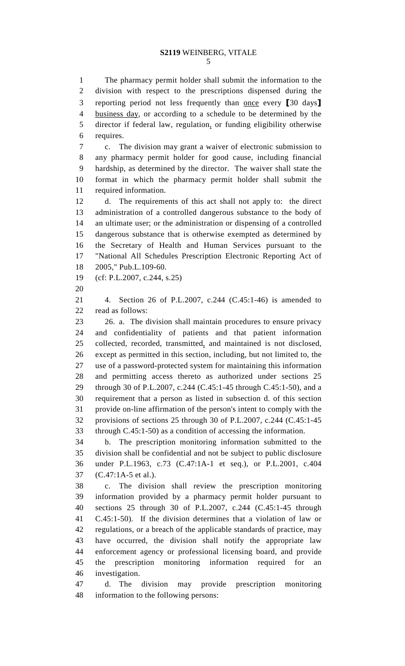5

1 The pharmacy permit holder shall submit the information to the 2 division with respect to the prescriptions dispensed during the 3 reporting period not less frequently than <u>once</u> every [30 days] 4 business day, or according to a schedule to be determined by the 5 director if federal law, regulation, or funding eligibility otherwise 6 requires.

7 c. The division may grant a waiver of electronic submission to 8 any pharmacy permit holder for good cause, including financial 9 hardship, as determined by the director. The waiver shall state the 10 format in which the pharmacy permit holder shall submit the 11 required information.

12 d. The requirements of this act shall not apply to: the direct 13 administration of a controlled dangerous substance to the body of 14 an ultimate user; or the administration or dispensing of a controlled 15 dangerous substance that is otherwise exempted as determined by 16 the Secretary of Health and Human Services pursuant to the 17 "National All Schedules Prescription Electronic Reporting Act of 18 2005," Pub.L.109-60.

19 (cf: P.L.2007, c.244, s.25)

20

21 4. Section 26 of P.L.2007, c.244 (C.45:1-46) is amended to 22 read as follows:

23 26. a. The division shall maintain procedures to ensure privacy 24 and confidentiality of patients and that patient information 25 collected, recorded, transmitted, and maintained is not disclosed, 26 except as permitted in this section, including, but not limited to, the 27 use of a password-protected system for maintaining this information 28 and permitting access thereto as authorized under sections 25 29 through 30 of P.L.2007, c.244 (C.45:1-45 through C.45:1-50), and a 30 requirement that a person as listed in subsection d. of this section 31 provide on-line affirmation of the person's intent to comply with the 32 provisions of sections 25 through 30 of P.L.2007, c.244 (C.45:1-45 33 through C.45:1-50) as a condition of accessing the information.

34 b. The prescription monitoring information submitted to the 35 division shall be confidential and not be subject to public disclosure 36 under P.L.1963, c.73 (C.47:1A-1 et seq.), or P.L.2001, c.404 37 (C.47:1A-5 et al.).

38 c. The division shall review the prescription monitoring 39 information provided by a pharmacy permit holder pursuant to 40 sections 25 through 30 of P.L.2007, c.244 (C.45:1-45 through 41 C.45:1-50). If the division determines that a violation of law or 42 regulations, or a breach of the applicable standards of practice, may 43 have occurred, the division shall notify the appropriate law 44 enforcement agency or professional licensing board, and provide 45 the prescription monitoring information required for an 46 investigation.

47 d. The division may provide prescription monitoring 48 information to the following persons: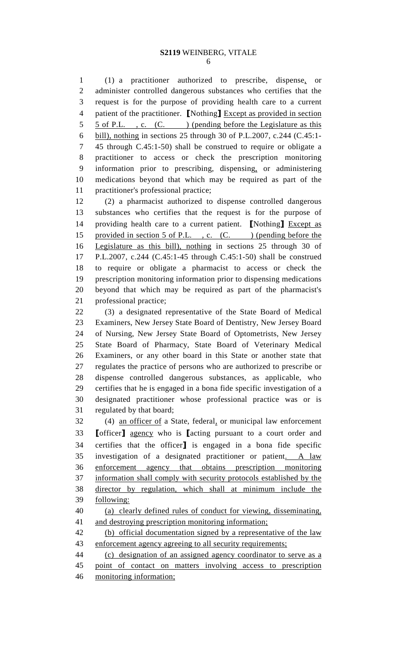1 (1) a practitioner authorized to prescribe, dispense, or 2 administer controlled dangerous substances who certifies that the 3 request is for the purpose of providing health care to a current 4 patient of the practitioner. [Nothing] Except as provided in section 5 5 of P.L. , c. (C. ) (pending before the Legislature as this 6 bill), nothing in sections 25 through 30 of P.L.2007, c.244 (C.45:1- 7 45 through C.45:1-50) shall be construed to require or obligate a 8 practitioner to access or check the prescription monitoring 9 information prior to prescribing, dispensing, or administering 10 medications beyond that which may be required as part of the 11 practitioner's professional practice;

12 (2) a pharmacist authorized to dispense controlled dangerous 13 substances who certifies that the request is for the purpose of 14 providing health care to a current patient. [Nothing] Except as 15 provided in section 5 of P.L., c. (C. ) (pending before the 16 Legislature as this bill), nothing in sections 25 through 30 of 17 P.L.2007, c.244 (C.45:1-45 through C.45:1-50) shall be construed 18 to require or obligate a pharmacist to access or check the 19 prescription monitoring information prior to dispensing medications 20 beyond that which may be required as part of the pharmacist's 21 professional practice;

22 (3) a designated representative of the State Board of Medical 23 Examiners, New Jersey State Board of Dentistry, New Jersey Board 24 of Nursing, New Jersey State Board of Optometrists, New Jersey 25 State Board of Pharmacy, State Board of Veterinary Medical 26 Examiners, or any other board in this State or another state that 27 regulates the practice of persons who are authorized to prescribe or 28 dispense controlled dangerous substances, as applicable, who 29 certifies that he is engaged in a bona fide specific investigation of a 30 designated practitioner whose professional practice was or is 31 regulated by that board;

32 (4) an officer of a State, federal, or municipal law enforcement 33 [officer] agency who is [acting pursuant to a court order and 34 certifies that the officer] is engaged in a bona fide specific 35 investigation of a designated practitioner or patient. A law 36 enforcement agency that obtains prescription monitoring 37 information shall comply with security protocols established by the 38 director by regulation, which shall at minimum include the 39 following:

40 (a) clearly defined rules of conduct for viewing, disseminating, 41 and destroying prescription monitoring information;

42 (b) official documentation signed by a representative of the law 43 enforcement agency agreeing to all security requirements;

44 (c) designation of an assigned agency coordinator to serve as a 45 point of contact on matters involving access to prescription

46 monitoring information;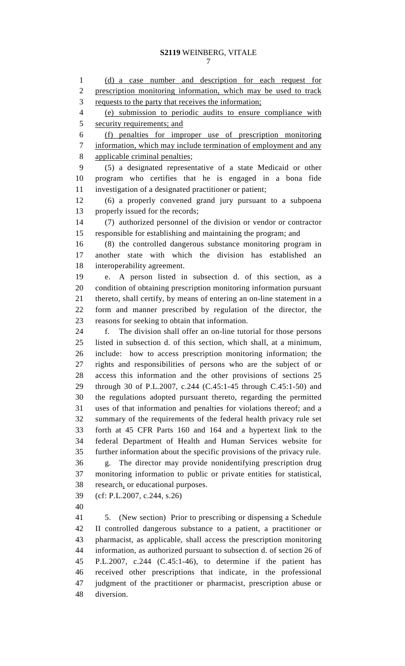1 (d) a case number and description for each request for 2 prescription monitoring information, which may be used to track 3 requests to the party that receives the information; 4 (e) submission to periodic audits to ensure compliance with 5 security requirements; and 6 (f) penalties for improper use of prescription monitoring 7 information, which may include termination of employment and any 8 applicable criminal penalties; 9 (5) a designated representative of a state Medicaid or other 10 program who certifies that he is engaged in a bona fide 11 investigation of a designated practitioner or patient; 12 (6) a properly convened grand jury pursuant to a subpoena 13 properly issued for the records; 14 (7) authorized personnel of the division or vendor or contractor 15 responsible for establishing and maintaining the program; and 16 (8) the controlled dangerous substance monitoring program in 17 another state with which the division has established an 18 interoperability agreement. 19 e. A person listed in subsection d. of this section, as a 20 condition of obtaining prescription monitoring information pursuant 21 thereto, shall certify, by means of entering an on-line statement in a 22 form and manner prescribed by regulation of the director, the 23 reasons for seeking to obtain that information. 24 f. The division shall offer an on-line tutorial for those persons 25 listed in subsection d. of this section, which shall, at a minimum, 26 include: how to access prescription monitoring information; the 27 rights and responsibilities of persons who are the subject of or 28 access this information and the other provisions of sections 25 29 through 30 of P.L.2007, c.244 (C.45:1-45 through C.45:1-50) and 30 the regulations adopted pursuant thereto, regarding the permitted 31 uses of that information and penalties for violations thereof; and a 32 summary of the requirements of the federal health privacy rule set 33 forth at 45 CFR Parts 160 and 164 and a hypertext link to the 34 federal Department of Health and Human Services website for 35 further information about the specific provisions of the privacy rule. 36 g. The director may provide nonidentifying prescription drug 37 monitoring information to public or private entities for statistical, 38 research, or educational purposes. 39 (cf: P.L.2007, c.244, s.26) 40 41 5. (New section) Prior to prescribing or dispensing a Schedule 42 II controlled dangerous substance to a patient, a practitioner or 43 pharmacist, as applicable, shall access the prescription monitoring 44 information, as authorized pursuant to subsection d. of section 26 of 45 P.L.2007, c.244 (C.45:1-46), to determine if the patient has 46 received other prescriptions that indicate, in the professional 47 judgment of the practitioner or pharmacist, prescription abuse or

48 diversion.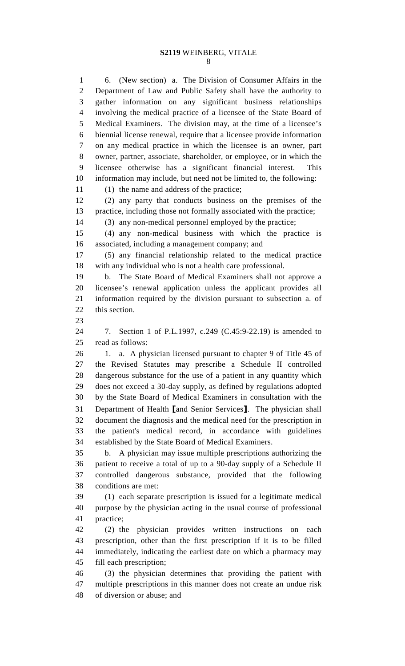8

1 6. (New section) a. The Division of Consumer Affairs in the 2 Department of Law and Public Safety shall have the authority to 3 gather information on any significant business relationships 4 involving the medical practice of a licensee of the State Board of 5 Medical Examiners. The division may, at the time of a licensee's 6 biennial license renewal, require that a licensee provide information 7 on any medical practice in which the licensee is an owner, part 8 owner, partner, associate, shareholder, or employee, or in which the 9 licensee otherwise has a significant financial interest. This 10 information may include, but need not be limited to, the following: 11 (1) the name and address of the practice; 12 (2) any party that conducts business on the premises of the 13 practice, including those not formally associated with the practice; 14 (3) any non-medical personnel employed by the practice; 15 (4) any non-medical business with which the practice is 16 associated, including a management company; and 17 (5) any financial relationship related to the medical practice 18 with any individual who is not a health care professional. 19 b. The State Board of Medical Examiners shall not approve a 20 licensee's renewal application unless the applicant provides all 21 information required by the division pursuant to subsection a. of 22 this section. 23 24 7. Section 1 of P.L.1997, c.249 (C.45:9-22.19) is amended to 25 read as follows: 26 1. a. A physician licensed pursuant to chapter 9 of Title 45 of 27 the Revised Statutes may prescribe a Schedule II controlled 28 dangerous substance for the use of a patient in any quantity which 29 does not exceed a 30-day supply, as defined by regulations adopted 30 by the State Board of Medical Examiners in consultation with the 31 Department of Health [and Senior Services]. The physician shall 32 document the diagnosis and the medical need for the prescription in 33 the patient's medical record, in accordance with guidelines 34 established by the State Board of Medical Examiners. 35 b. A physician may issue multiple prescriptions authorizing the 36 patient to receive a total of up to a 90-day supply of a Schedule II 37 controlled dangerous substance, provided that the following 38 conditions are met: 39 (1) each separate prescription is issued for a legitimate medical 40 purpose by the physician acting in the usual course of professional 41 practice; 42 (2) the physician provides written instructions on each 43 prescription, other than the first prescription if it is to be filled 44 immediately, indicating the earliest date on which a pharmacy may 45 fill each prescription; 46 (3) the physician determines that providing the patient with 47 multiple prescriptions in this manner does not create an undue risk 48 of diversion or abuse; and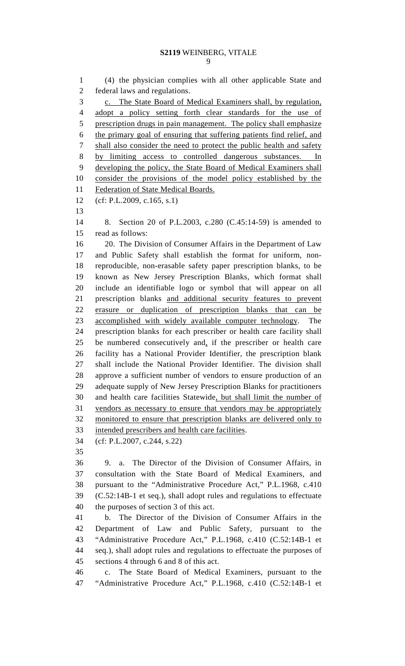1 (4) the physician complies with all other applicable State and 2 federal laws and regulations. 3 c. The State Board of Medical Examiners shall, by regulation, 4 adopt a policy setting forth clear standards for the use of 5 prescription drugs in pain management. The policy shall emphasize 6 the primary goal of ensuring that suffering patients find relief, and 7 shall also consider the need to protect the public health and safety 8 by limiting access to controlled dangerous substances. In 9 developing the policy, the State Board of Medical Examiners shall 10 consider the provisions of the model policy established by the 11 Federation of State Medical Boards. 12 (cf: P.L.2009, c.165, s.1) 13 14 8. Section 20 of P.L.2003, c.280 (C.45:14-59) is amended to 15 read as follows: 16 20. The Division of Consumer Affairs in the Department of Law 17 and Public Safety shall establish the format for uniform, non-18 reproducible, non-erasable safety paper prescription blanks, to be 19 known as New Jersey Prescription Blanks, which format shall 20 include an identifiable logo or symbol that will appear on all 21 prescription blanks and additional security features to prevent 22 erasure or duplication of prescription blanks that can be 23 accomplished with widely available computer technology. The 24 prescription blanks for each prescriber or health care facility shall 25 be numbered consecutively and, if the prescriber or health care 26 facility has a National Provider Identifier, the prescription blank 27 shall include the National Provider Identifier. The division shall 28 approve a sufficient number of vendors to ensure production of an 29 adequate supply of New Jersey Prescription Blanks for practitioners 30 and health care facilities Statewide, but shall limit the number of 31 vendors as necessary to ensure that vendors may be appropriately 32 monitored to ensure that prescription blanks are delivered only to 33 intended prescribers and health care facilities. 34 (cf: P.L.2007, c.244, s.22) 35 36 9. a. The Director of the Division of Consumer Affairs, in 37 consultation with the State Board of Medical Examiners, and 38 pursuant to the "Administrative Procedure Act," P.L.1968, c.410 39 (C.52:14B-1 et seq.), shall adopt rules and regulations to effectuate 40 the purposes of section 3 of this act. 41 b. The Director of the Division of Consumer Affairs in the 42 Department of Law and Public Safety, pursuant to the 43 "Administrative Procedure Act," P.L.1968, c.410 (C.52:14B-1 et 44 seq.), shall adopt rules and regulations to effectuate the purposes of 45 sections 4 through 6 and 8 of this act. 46 c. The State Board of Medical Examiners, pursuant to the 47 "Administrative Procedure Act," P.L.1968, c.410 (C.52:14B-1 et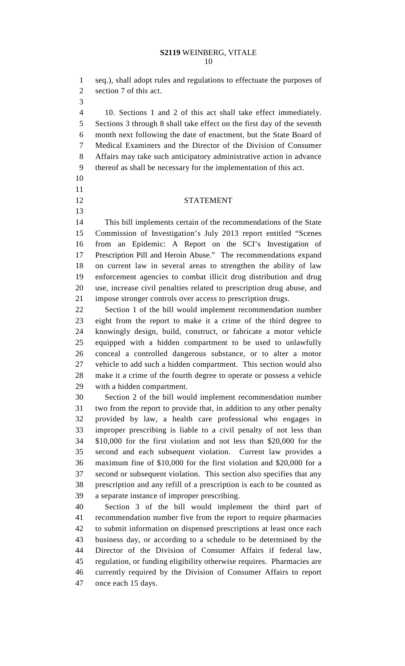1 seq.), shall adopt rules and regulations to effectuate the purposes of 2 section 7 of this act.

3

10 11

13

4 10. Sections 1 and 2 of this act shall take effect immediately. 5 Sections 3 through 8 shall take effect on the first day of the seventh 6 month next following the date of enactment, but the State Board of 7 Medical Examiners and the Director of the Division of Consumer 8 Affairs may take such anticipatory administrative action in advance 9 thereof as shall be necessary for the implementation of this act.

## 12 STATEMENT

14 This bill implements certain of the recommendations of the State 15 Commission of Investigation's July 2013 report entitled "Scenes 16 from an Epidemic: A Report on the SCI's Investigation of 17 Prescription Pill and Heroin Abuse." The recommendations expand 18 on current law in several areas to strengthen the ability of law 19 enforcement agencies to combat illicit drug distribution and drug 20 use, increase civil penalties related to prescription drug abuse, and 21 impose stronger controls over access to prescription drugs.

22 Section 1 of the bill would implement recommendation number 23 eight from the report to make it a crime of the third degree to 24 knowingly design, build, construct, or fabricate a motor vehicle 25 equipped with a hidden compartment to be used to unlawfully 26 conceal a controlled dangerous substance, or to alter a motor 27 vehicle to add such a hidden compartment. This section would also 28 make it a crime of the fourth degree to operate or possess a vehicle 29 with a hidden compartment.

30 Section 2 of the bill would implement recommendation number 31 two from the report to provide that, in addition to any other penalty 32 provided by law, a health care professional who engages in 33 improper prescribing is liable to a civil penalty of not less than 34 \$10,000 for the first violation and not less than \$20,000 for the 35 second and each subsequent violation. Current law provides a 36 maximum fine of \$10,000 for the first violation and \$20,000 for a 37 second or subsequent violation. This section also specifies that any 38 prescription and any refill of a prescription is each to be counted as 39 a separate instance of improper prescribing.

40 Section 3 of the bill would implement the third part of 41 recommendation number five from the report to require pharmacies 42 to submit information on dispensed prescriptions at least once each 43 business day, or according to a schedule to be determined by the 44 Director of the Division of Consumer Affairs if federal law, 45 regulation, or funding eligibility otherwise requires. Pharmacies are 46 currently required by the Division of Consumer Affairs to report 47 once each 15 days.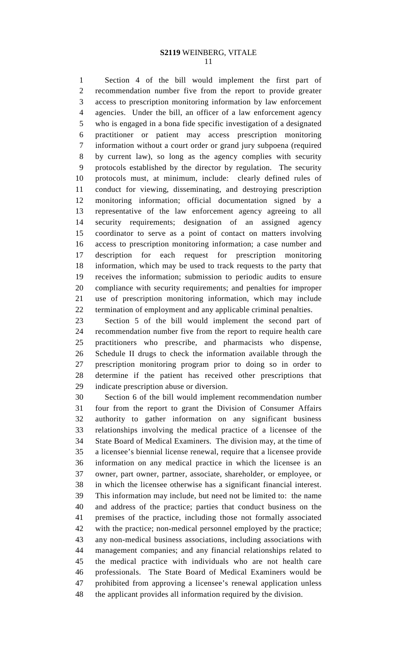#### **S2119** WEINBERG, VITALE 11

1 Section 4 of the bill would implement the first part of 2 recommendation number five from the report to provide greater 3 access to prescription monitoring information by law enforcement 4 agencies. Under the bill, an officer of a law enforcement agency 5 who is engaged in a bona fide specific investigation of a designated 6 practitioner or patient may access prescription monitoring 7 information without a court order or grand jury subpoena (required 8 by current law), so long as the agency complies with security 9 protocols established by the director by regulation. The security 10 protocols must, at minimum, include: clearly defined rules of 11 conduct for viewing, disseminating, and destroying prescription 12 monitoring information; official documentation signed by a 13 representative of the law enforcement agency agreeing to all 14 security requirements; designation of an assigned agency 15 coordinator to serve as a point of contact on matters involving 16 access to prescription monitoring information; a case number and 17 description for each request for prescription monitoring 18 information, which may be used to track requests to the party that 19 receives the information; submission to periodic audits to ensure 20 compliance with security requirements; and penalties for improper 21 use of prescription monitoring information, which may include 22 termination of employment and any applicable criminal penalties.

23 Section 5 of the bill would implement the second part of 24 recommendation number five from the report to require health care 25 practitioners who prescribe, and pharmacists who dispense, 26 Schedule II drugs to check the information available through the 27 prescription monitoring program prior to doing so in order to 28 determine if the patient has received other prescriptions that 29 indicate prescription abuse or diversion.

30 Section 6 of the bill would implement recommendation number 31 four from the report to grant the Division of Consumer Affairs 32 authority to gather information on any significant business 33 relationships involving the medical practice of a licensee of the 34 State Board of Medical Examiners. The division may, at the time of 35 a licensee's biennial license renewal, require that a licensee provide 36 information on any medical practice in which the licensee is an 37 owner, part owner, partner, associate, shareholder, or employee, or 38 in which the licensee otherwise has a significant financial interest. 39 This information may include, but need not be limited to: the name 40 and address of the practice; parties that conduct business on the 41 premises of the practice, including those not formally associated 42 with the practice; non-medical personnel employed by the practice; 43 any non-medical business associations, including associations with 44 management companies; and any financial relationships related to 45 the medical practice with individuals who are not health care 46 professionals. The State Board of Medical Examiners would be 47 prohibited from approving a licensee's renewal application unless 48 the applicant provides all information required by the division.